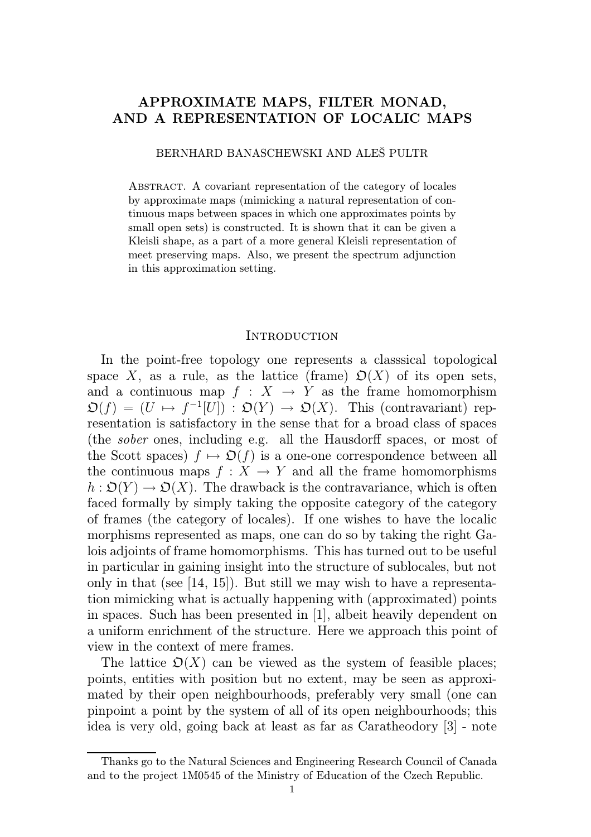# APPROXIMATE MAPS, FILTER MONAD, AND A REPRESENTATION OF LOCALIC MAPS

BERNHARD BANASCHEWSKI AND ALEŠ PULTR

Abstract. A covariant representation of the category of locales by approximate maps (mimicking a natural representation of continuous maps between spaces in which one approximates points by small open sets) is constructed. It is shown that it can be given a Kleisli shape, as a part of a more general Kleisli representation of meet preserving maps. Also, we present the spectrum adjunction in this approximation setting.

### **INTRODUCTION**

In the point-free topology one represents a classsical topological space X, as a rule, as the lattice (frame)  $\mathcal{D}(X)$  of its open sets, and a continuous map  $f : X \rightarrow Y$  as the frame homomorphism  $\mathfrak{O}(f) \,=\, (U \, \mapsto \, f^{-1}[U]) \,:\, \mathfrak{O}(Y) \,\to\, \mathfrak{O}(X).$  This (contravariant) representation is satisfactory in the sense that for a broad class of spaces (the sober ones, including e.g. all the Hausdorff spaces, or most of the Scott spaces)  $f \mapsto \mathfrak{D}(f)$  is a one-one correspondence between all the continuous maps  $f: X \to Y$  and all the frame homomorphisms  $h: \mathcal{D}(Y) \to \mathcal{D}(X)$ . The drawback is the contravariance, which is often faced formally by simply taking the opposite category of the category of frames (the category of locales). If one wishes to have the localic morphisms represented as maps, one can do so by taking the right Galois adjoints of frame homomorphisms. This has turned out to be useful in particular in gaining insight into the structure of sublocales, but not only in that (see [14, 15]). But still we may wish to have a representation mimicking what is actually happening with (approximated) points in spaces. Such has been presented in [1], albeit heavily dependent on a uniform enrichment of the structure. Here we approach this point of view in the context of mere frames.

The lattice  $\mathfrak{O}(X)$  can be viewed as the system of feasible places; points, entities with position but no extent, may be seen as approximated by their open neighbourhoods, preferably very small (one can pinpoint a point by the system of all of its open neighbourhoods; this idea is very old, going back at least as far as Caratheodory [3] - note

Thanks go to the Natural Sciences and Engineering Research Council of Canada and to the project 1M0545 of the Ministry of Education of the Czech Republic.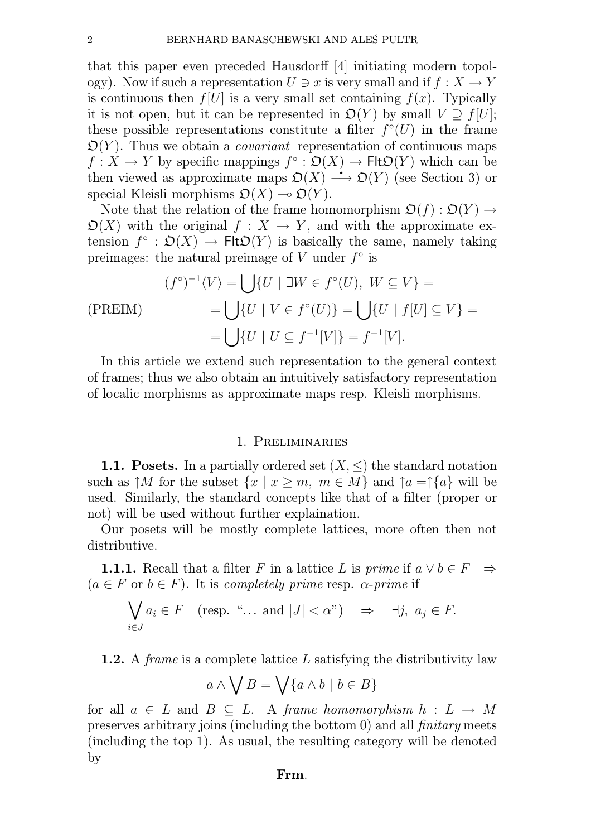that this paper even preceded Hausdorff [4] initiating modern topology). Now if such a representation  $U \ni x$  is very small and if  $f : X \to Y$ is continuous then  $f[U]$  is a very small set containing  $f(x)$ . Typically it is not open, but it can be represented in  $\mathfrak{O}(Y)$  by small  $V \supseteq f[U]$ ; these possible representations constitute a filter  $f^{\circ}(U)$  in the frame  $\mathfrak{O}(Y)$ . Thus we obtain a *covariant* representation of continuous maps  $f: X \to Y$  by specific mappings  $f^{\circ} : \mathfrak{O}(X) \to \mathsf{Flt}\mathfrak{O}(Y)$  which can be  $t: X \to Y$  by specific mappings  $f^{\circ}: \mathfrak{O}(X) \to \mathsf{Flt}\mathfrak{O}(Y)$  which can be then viewed as approximate maps  $\mathfrak{O}(X) \longrightarrow \mathfrak{O}(Y)$  (see Section 3) or special Kleisli morphisms  $\mathfrak{O}(X) \to \mathfrak{O}(Y)$ .

Note that the relation of the frame homomorphism  $\mathfrak{O}(f) : \mathfrak{O}(Y) \rightarrow$  $\mathfrak{O}(X)$  with the original  $f : X \to Y$ , and with the approximate extension  $f^{\circ} : \mathfrak{O}(X) \to \mathsf{FltD}(Y)$  is basically the same, namely taking preimages: the natural preimage of V under  $f^{\circ}$  is

$$
(f^{\circ})^{-1}\langle V \rangle = \bigcup \{ U \mid \exists W \in f^{\circ}(U), \ W \subseteq V \} =
$$
  
(PREIM)  

$$
= \bigcup \{ U \mid V \in f^{\circ}(U) \} = \bigcup \{ U \mid f[U] \subseteq V \} =
$$
  

$$
= \bigcup \{ U \mid U \subseteq f^{-1}[V] \} = f^{-1}[V].
$$

In this article we extend such representation to the general context of frames; thus we also obtain an intuitively satisfactory representation of localic morphisms as approximate maps resp. Kleisli morphisms.

### 1. Preliminaries

1.1. Posets. In a partially ordered set  $(X, \leq)$  the standard notation such as  $\uparrow M$  for the subset  $\{x \mid x \geq m, m \in M\}$  and  $\uparrow a = \uparrow \{a\}$  will be used. Similarly, the standard concepts like that of a filter (proper or not) will be used without further explaination.

Our posets will be mostly complete lattices, more often then not distributive.

1.1.1. Recall that a filter F in a lattice L is prime if  $a \vee b \in F \Rightarrow$  $(a \in F \text{ or } b \in F)$ . It is completely prime resp.  $\alpha$ -prime if

$$
\bigvee_{i\in J} a_i\in F \quad (\text{resp. } \text{``... and } |J| < \alpha\text{''}) \quad \Rightarrow \quad \exists j, \ a_j\in F.
$$

1.2. A frame is a complete lattice L satisfying the distributivity law

$$
a \wedge \bigvee B = \bigvee \{a \wedge b \mid b \in B\}
$$

for all  $a \in L$  and  $B \subset L$ . A frame homomorphism  $h : L \to M$ preserves arbitrary joins (including the bottom 0) and all finitary meets (including the top 1). As usual, the resulting category will be denoted by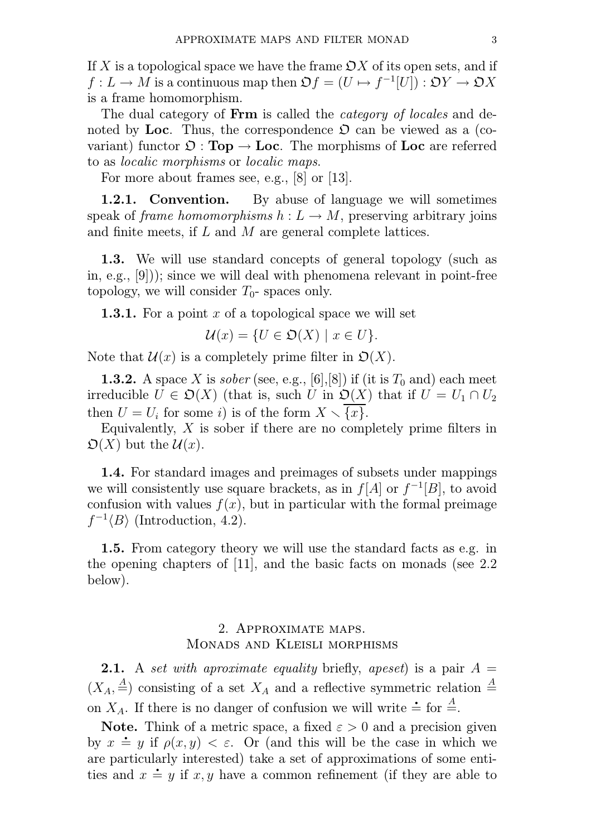If X is a topological space we have the frame  $\mathcal{O}X$  of its open sets, and if  $f: L \to M$  is a continuous map then  $\mathfrak{O} f = (U \mapsto f^{-1}[U]) : \mathfrak{O}Y \to \mathfrak{O}X$ is a frame homomorphism.

The dual category of **Frm** is called the *category of locales* and denoted by Loc. Thus, the correspondence  $\mathfrak{O}$  can be viewed as a (covariant) functor  $\mathfrak{O}: \textbf{Top} \to \textbf{Loc}$ . The morphisms of  $\textbf{Loc}$  are referred to as localic morphisms or localic maps.

For more about frames see, e.g., [8] or [13].

1.2.1. Convention. By abuse of language we will sometimes speak of frame homomorphisms  $h: L \to M$ , preserving arbitrary joins and finite meets, if L and M are general complete lattices.

1.3. We will use standard concepts of general topology (such as in, e.g., [9])); since we will deal with phenomena relevant in point-free topology, we will consider  $T_0$ - spaces only.

**1.3.1.** For a point x of a topological space we will set

$$
\mathcal{U}(x) = \{ U \in \mathfrak{O}(X) \mid x \in U \}.
$$

Note that  $\mathcal{U}(x)$  is a completely prime filter in  $\mathfrak{O}(X)$ .

**1.3.2.** A space X is sober (see, e.g., [6], [8]) if (it is  $T_0$  and) each meet irreducible  $U \in \mathfrak{O}(X)$  (that is, such U in  $\mathfrak{O}(X)$  that if  $U = U_1 \cap U_2$ then  $U = U_i$  for some *i*) is of the form  $X \setminus \{x\}$ .

Equivalently,  $X$  is sober if there are no completely prime filters in  $\mathfrak{O}(X)$  but the  $\mathcal{U}(x)$ .

1.4. For standard images and preimages of subsets under mappings we will consistently use square brackets, as in  $f[A]$  or  $f^{-1}[B]$ , to avoid confusion with values  $f(x)$ , but in particular with the formal preimage  $f^{-1}\langle B\rangle$  (Introduction, 4.2).

1.5. From category theory we will use the standard facts as e.g. in the opening chapters of [11], and the basic facts on monads (see 2.2 below).

# 2. Approximate maps. Monads and Kleisli morphisms

**2.1.** A set with aproximate equality briefly, apeset) is a pair  $A =$  $(X_A, \stackrel{A}{=} )$  consisting of a set  $X_A$  and a reflective symmetric relation  $\stackrel{A}{=}$  on  $X_A$ . If there is no danger of confusion we will write  $\stackrel{.}{=}$  for  $\stackrel{A}{=}$ .

**Note.** Think of a metric space, a fixed  $\varepsilon > 0$  and a precision given **Note.** Think of a metric space, a fixed  $\varepsilon > 0$  and a precision given<br>by  $x \doteq y$  if  $\rho(x, y) < \varepsilon$ . Or (and this will be the case in which we are particularly interested) take a set of approximations of some entities and  $x \doteq y$  if x, y have a common refinement (if they are able to larly interested) take a set of approximations of some enti-<br> $\dot{=} y$  if x, y have a common refinement (if they are able to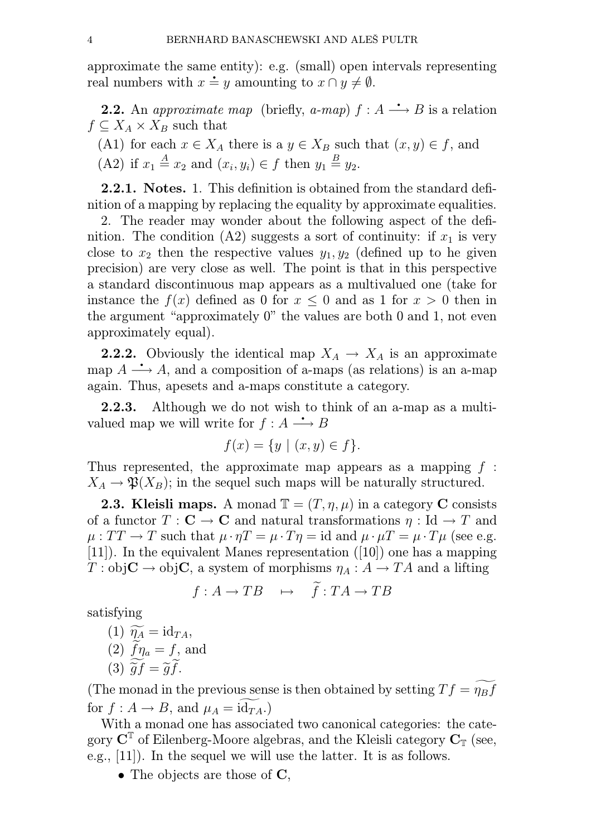approximate the same entity): e.g. (small) open intervals representing real numbers with  $x \doteq y$  amounting to  $x \cap y \neq \emptyset$ . e entity): e.g. (small) open i<br>
∴ *y* amounting to  $x \cap y \neq \emptyset$ .

al numbers with  $x \doteq y$  amounting to  $x \cap y \neq \emptyset$ .<br>2.2. An approximate map (briefly, a-map)  $f : A \longrightarrow B$  is a relation  $f \subseteq X_A \times X_B$  such that

(A1) for each  $x \in X_A$  there is a  $y \in X_B$  such that  $(x, y) \in f$ , and (A2) if  $x_1 \stackrel{A}{=} x_2$  and  $(x_i, y_i) \in f$  then  $y_1 \stackrel{B}{=} y_2$ .

2.2.1. Notes. 1. This definition is obtained from the standard definition of a mapping by replacing the equality by approximate equalities.

2. The reader may wonder about the following aspect of the definition. The condition (A2) suggests a sort of continuity: if  $x_1$  is very close to  $x_2$  then the respective values  $y_1, y_2$  (defined up to he given precision) are very close as well. The point is that in this perspective a standard discontinuous map appears as a multivalued one (take for instance the  $f(x)$  defined as 0 for  $x \leq 0$  and as 1 for  $x > 0$  then in the argument "approximately 0" the values are both 0 and 1, not even approximately equal).

**2.2.2.** Obviously the identical map  $X_A \to X_A$  is an approximate map  $A \longrightarrow A$ , and a composition of a-maps (as relations) is an a-map ∴ Obviously the identical map  $X_A \to X_A$  is an approximate<br>
→ A, and a composition of a-maps (as relations) is an a-map again. Thus, apesets and a-maps constitute a category.

2.2.3. Although we do not wish to think of an a-map as a multi-**2.2.3.** Although we do not wish to the valued map we will write for  $f : A \longrightarrow B$ 

$$
f(x) = \{ y \mid (x, y) \in f \}.
$$

Thus represented, the approximate map appears as a mapping  $f$ :  $X_A \to \mathfrak{P}(X_B)$ ; in the sequel such maps will be naturally structured.

**2.3. Kleisli maps.** A monad  $\mathbb{T} = (T, \eta, \mu)$  in a category C consists of a functor  $T : \mathbf{C} \to \mathbf{C}$  and natural transformations  $\eta : \mathrm{Id} \to T$  and  $\mu: TT \to T$  such that  $\mu \cdot \eta T = \mu \cdot T \eta = id$  and  $\mu \cdot \mu T = \mu \cdot T \mu$  (see e.g. [11]). In the equivalent Manes representation ([10]) one has a mapping  $T : obj**C** \rightarrow obj**C**$ , a system of morphisms  $\eta_A : A \rightarrow TA$  and a lifting

$$
f: A \to TB \quad \mapsto \quad f: TA \to TB
$$

satisfying

(1)  $\widetilde{\eta_A} = \mathrm{id}_{TA}$ , (2)  $\widetilde{f}\eta_a = f$ , and (3)  $\widetilde{q}f = \widetilde{q}f$ .

(The monad in the previous sense is then obtained by setting  $Tf = \widetilde{\eta_B f}$ for  $f : A \to B$ , and  $\mu_A = \text{id}_{TA}$ .

With a monad one has associated two canonical categories: the category  $\mathbf{C}^{\mathbb{T}}$  of Eilenberg-Moore algebras, and the Kleisli category  $\mathbf{C}_{\mathbb{T}}$  (see, e.g., [11]). In the sequel we will use the latter. It is as follows.

• The objects are those of  $\mathbf{C}$ ,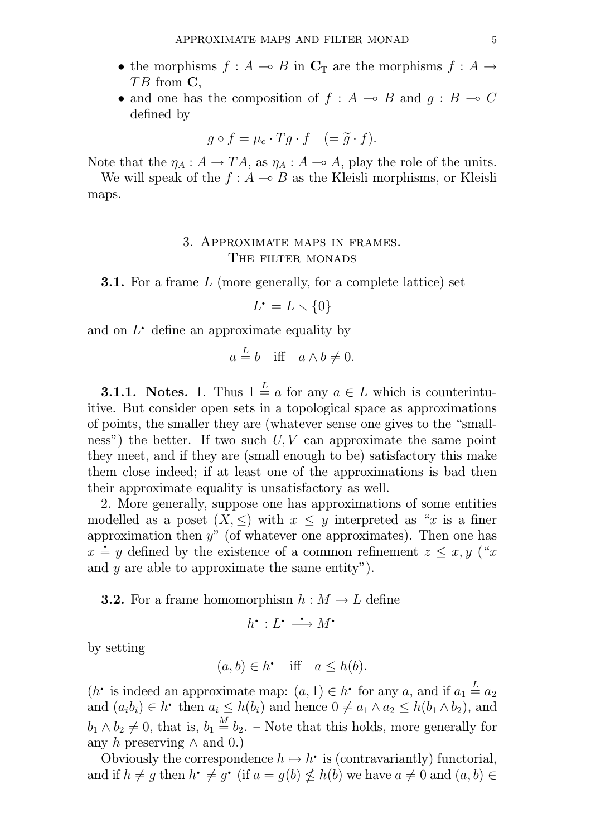- the morphisms  $f : A \to B$  in  $\mathbb{C}_{\mathbb{T}}$  are the morphisms  $f : A \to$  $TB$  from  $C$ ,
- and one has the composition of  $f : A \multimap B$  and  $q : B \multimap C$ defined by

$$
g \circ f = \mu_c \cdot Tg \cdot f \quad (= \widetilde{g} \cdot f).
$$

Note that the  $\eta_A : A \to TA$ , as  $\eta_A : A \to A$ , play the role of the units.

We will speak of the  $f : A \to B$  as the Kleisli morphisms, or Kleisli maps.

## 3. Approximate maps in frames. THE FILTER MONADS

**3.1.** For a frame L (more generally, for a complete lattice) set

generally, for<br>  $L^{\bullet} = L \setminus \{0\}$ 

 $L^{\bullet} = L \setminus \{0\}$ <br>and on  $L^{\bullet}$  define an approximate equality by

$$
a \stackrel{L}{=} b
$$
 iff  $a \wedge b \neq 0$ .

**3.1.1.** Notes. 1. Thus  $1 \stackrel{L}{=} a$  for any  $a \in L$  which is counterintuitive. But consider open sets in a topological space as approximations of points, the smaller they are (whatever sense one gives to the "smallness") the better. If two such  $U, V$  can approximate the same point they meet, and if they are (small enough to be) satisfactory this make them close indeed; if at least one of the approximations is bad then their approximate equality is unsatisfactory as well.

2. More generally, suppose one has approximations of some entities modelled as a poset  $(X, \leq)$  with  $x \leq y$  interpreted as "x is a finer approximation then  $y''$  (of whatever one approximates). Then one has  $x \doteq y$  defined by the existence of a common refinement  $z \leq x, y$  ("x but as a poset  $(X, \leq)$  with  $x \leq y$  interpreted as x is a liner<br>proximation then y" (of whatever one approximates). Then one has<br> $\dot{=} y$  defined by the existence of a common refinement  $z \leq x, y$  ("x and  $y$  are able to approximate the same entity").

**3.2.** For a frame homomorphism  $h : M \to L$  define<br> $h^{\bullet} : L^{\bullet} \longrightarrow M^{\bullet}$ 

$$
h^{\bullet}: L^{\bullet} \longrightarrow M^{\bullet}
$$

by setting

$$
(a, b) \in h^{\bullet} \quad \text{iff} \quad a \le h(b).
$$

 $(a, b) \in h^{\bullet}$  iff  $a \leq h(b)$ .<br>  $(h^{\bullet}$  is indeed an approximate map:  $(a, 1) \in h^{\bullet}$  for any a, and if  $a_1 \stackrel{L}{=} a_2$  $(h^{\bullet}$  is indeed an approximate map:  $(a, 1) \in h^{\bullet}$  for any  $a$ , and if  $a_1 \stackrel{L}{=} a_2$ <br>and  $(a_i b_i) \in h^{\bullet}$  then  $a_i \leq h(b_i)$  and hence  $0 \neq a_1 \wedge a_2 \leq h(b_1 \wedge b_2)$ , and  $b_1 \wedge b_2 \neq 0$ , that is,  $b_1 \stackrel{M}{=} b_2$ . – Note that this holds, more generally for any h preserving  $\wedge$  and 0.)  $\begin{bmatrix} b_2 & b_1 & c_2 \\ c & d_1 & d_2 \end{bmatrix}$ <br>y h preserving  $\wedge$  and 0.)<br>Obviously the correspondence  $h \mapsto h^*$  is (contravariantly) functorial,

Obviously the correspondence  $h \mapsto h^{\bullet}$  is (contravariantly) functorial,<br>and if  $h \neq g$  then  $h^{\bullet} \neq g^{\bullet}$  (if  $a = g(b) \nleq h(b)$  we have  $a \neq 0$  and  $(a, b) \in$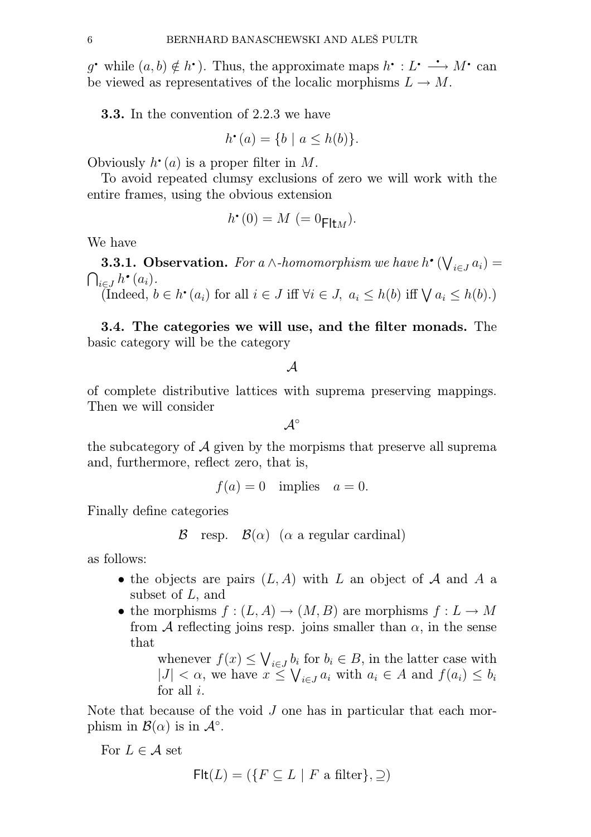6 BERNHARD BANASCHEWSKI AND ALEŠ PULTR<br>
g' while  $(a, b) \notin h^{\bullet}$ ). Thus, the approximate maps  $h^{\bullet}: L^{\bullet} \longrightarrow M^{\bullet}$  can be viewed as representatives of the localic morphisms  $L \to M$ .

**3.3.** In the convention of 2.2.3 we have

$$
h^{\bullet}(a) = \{b \mid a \le h(b)\}.
$$

 $h^{\bullet}(a) = \{b \mid a \le$ <br>Obviously  $h^{\bullet}(a)$  is a proper filter in M.

To avoid repeated clumsy exclusions of zero we will work with the entire frames, using the obvious extension<br> $h(0) = M(0, 0)$ 

$$
h^{\bullet}(0) = M (= 0_{\mathsf{Flt}M}).
$$

We have

**3.3.1. Observation.** For a ∧-homomorphism we have  $h^{\bullet}(\bigvee_{i \in J} a_i) =$ <br> $\in J$   $h^{\bullet}(a_i)$ .  $\bigcap_{i\in J} h$  $\sum_{i\in J} h^{\bullet}(a_i).$ <br>(Indeed,  $b \in h^{\bullet}(a_i)$  for all  $i \in J$  iff  $\forall i \in J$ ,  $a_i \leq h(b)$  iff  $\forall a_i \leq h(b).$ )

3.4. The categories we will use, and the filter monads. The basic category will be the category

A

of complete distributive lattices with suprema preserving mappings. Then we will consider

 $\mathcal{A}^{\circ}$ 

the subcategory of  $A$  given by the morpisms that preserve all suprema and, furthermore, reflect zero, that is,

 $f(a) = 0$  implies  $a = 0$ .

Finally define categories

 $\mathcal{B}$  resp.  $\mathcal{B}(\alpha)$  ( $\alpha$  a regular cardinal)

as follows:

- the objects are pairs  $(L, A)$  with L an object of A and A a subset of  $L$ , and
- the morphisms  $f : (L, A) \to (M, B)$  are morphisms  $f : L \to M$ from A reflecting joins resp. joins smaller than  $\alpha$ , in the sense that

whenever  $f(x) \leq \bigvee_{i \in J} b_i$  for  $b_i \in B$ , in the latter case with  $|J| < \alpha$ , we have  $x \leq \bigvee_{i \in J} a_i$  with  $a_i \in A$  and  $f(a_i) \leq b_i$ for all  $i$ .

Note that because of the void J one has in particular that each morphism in  $\mathcal{B}(\alpha)$  is in  $\mathcal{A}^{\circ}$ .

For  $L \in \mathcal{A}$  set

$$
\mathsf{Flt}(L) = (\{ F \subseteq L \mid F \text{ a filter} \}, \supseteq)
$$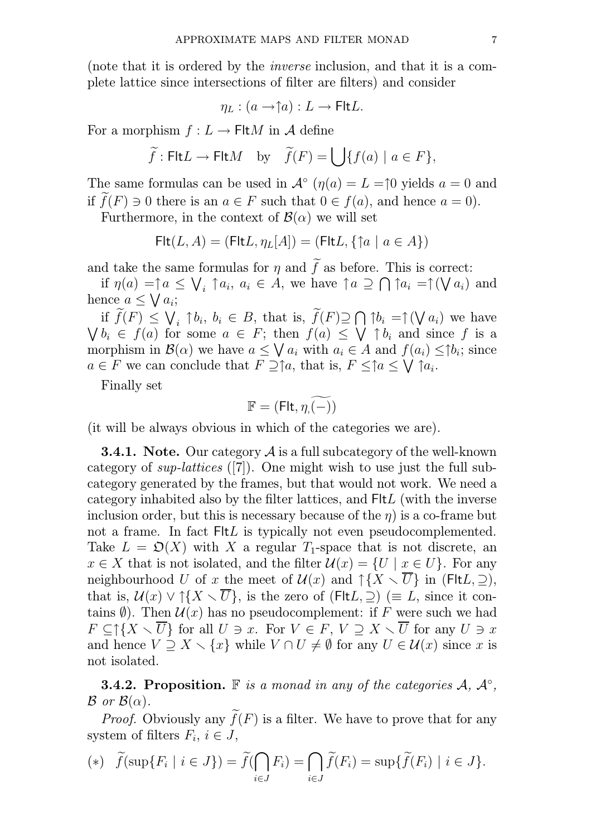(note that it is ordered by the inverse inclusion, and that it is a complete lattice since intersections of filter are filters) and consider

$$
\eta_L : (a \to \uparrow a) : L \to \mathsf{Flt}L.
$$

For a morphism  $f: L \to \text{Flt}M$  in A define

$$
\widetilde{f}: \text{Flt}L \to \text{Flt}M
$$
 by  $\widetilde{f}(F) = \bigcup \{f(a) \mid a \in F\},\$ 

The same formulas can be used in  $\mathcal{A}^{\circ}(\eta(a)) = L = \uparrow 0$  yields  $a = 0$  and if  $\widetilde{f}(F) \ni 0$  there is an  $a \in F$  such that  $0 \in f(a)$ , and hence  $a = 0$ .

Furthermore, in the context of  $\mathcal{B}(\alpha)$  we will set

$$
\mathsf{Flt}(L, A) = (\mathsf{Flt}L, \eta_L[A]) = (\mathsf{Flt}L, \{\uparrow a \mid a \in A\})
$$

and take the same formulas for  $\eta$  and  $\tilde{f}$  as before. This is correct:

if  $\eta(a) = \uparrow a \leq \bigvee_i \uparrow a_i, a_i \in \overrightarrow{A}$ , we have  $\uparrow a \supseteq \bigcap \uparrow a_i = \uparrow (\bigvee a_i)$  and hence  $a \leq \sqrt{a_i}$ ;

if  $\widetilde{f}(F) \leq \bigvee_i \uparrow b_i, b_i \in B$ , that is,  $\widetilde{f}(F) \supseteq \bigcap \uparrow b_i = \uparrow (\bigvee a_i)$  we have  $\bigvee b_i \in f(a)$  for some  $a \in F$ ; then  $f(a) \leq \bigvee \uparrow b_i$  and since f is a morphism in  $\mathcal{B}(\alpha)$  we have  $a \leq \bigvee a_i$  with  $a_i \in A$  and  $f(a_i) \leq |b_i|$  since  $a \in F$  we can conclude that  $\overline{F} \supseteq^* a$ , that is,  $F \leq^* a \leq \bigvee^* f a_i$ .

Finally set

$$
\mathbb{F}=(\mathsf{Flt},\widetilde{\eta,\mathbb{(-)}})
$$

(it will be always obvious in which of the categories we are).

**3.4.1.** Note. Our category  $\mathcal A$  is a full subcategory of the well-known category of sup-lattices ([7]). One might wish to use just the full subcategory generated by the frames, but that would not work. We need a category inhabited also by the filter lattices, and FltL (with the inverse inclusion order, but this is necessary because of the  $\eta$ ) is a co-frame but not a frame. In fact FltL is typically not even pseudocomplemented. Take  $L = \mathfrak{O}(X)$  with X a regular  $T_1$ -space that is not discrete, an  $x \in X$  that is not isolated, and the filter  $\mathcal{U}(x) = \{U \mid x \in U\}$ . For any neighbourhood U of x the meet of  $\mathcal{U}(x)$  and  $\uparrow \{X \setminus \overline{U}\}\$ in (FltL,  $\supseteq$ ), that is,  $\mathcal{U}(x) \vee \uparrow \{X \setminus \overline{U}\}\)$ , is the zero of (FIt $L, \supseteq$ ) (= L, since it contains  $\emptyset$ ). Then  $\mathcal{U}(x)$  has no pseudocomplement: if F were such we had  $F \subset \uparrow \{X \setminus \overline{U}\}$  for all  $U \ni x$ . For  $V \in F$ ,  $V \supset X \setminus \overline{U}$  for any  $U \ni x$ and hence  $V \supseteq X \setminus \{x\}$  while  $V \cap U \neq \emptyset$  for any  $U \in \mathcal{U}(x)$  since x is not isolated.

**3.4.2. Proposition.** F is a monad in any of the categories  $\mathcal{A}, \mathcal{A}^{\circ}$ ,  $\mathcal{B}$  or  $\mathcal{B}(\alpha)$ .

*Proof.* Obviously any  $\tilde{f}(F)$  is a filter. We have to prove that for any system of filters  $F_i$ ,  $i \in J$ ,

$$
(*)\quad \widetilde{f}(\sup\{F_i \mid i \in J\}) = \widetilde{f}(\bigcap_{i \in J} F_i) = \bigcap_{i \in J} \widetilde{f}(F_i) = \sup\{\widetilde{f}(F_i) \mid i \in J\}.
$$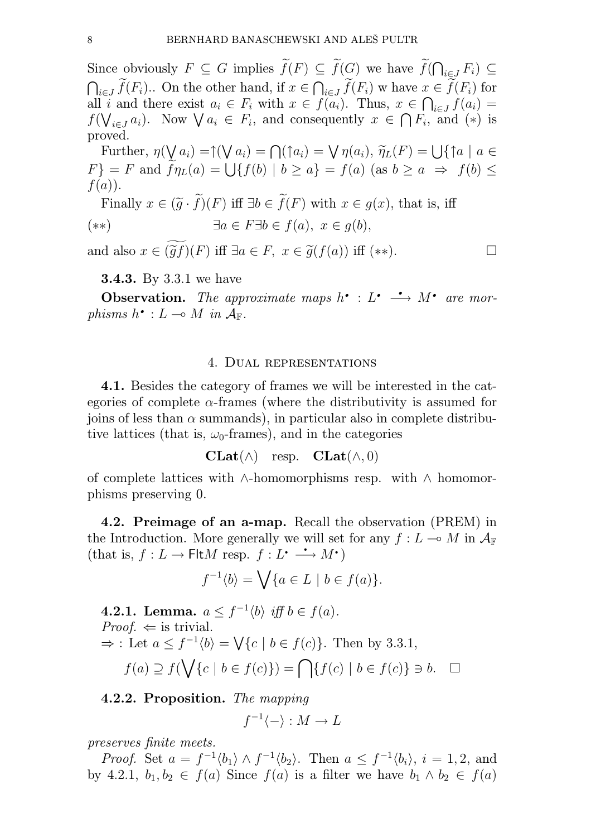Since obviously  $F \subseteq G$  implies  $\widetilde{f}(F) \subseteq \widetilde{f}(G)$  we have  $\widetilde{f}(\bigcap_{i \in J} F_i) \subseteq$  $\bigcap_{i\in J} \widetilde{f}(F_i)$ .. On the other hand, if  $x \in \bigcap_{i\in J} \widetilde{f}(F_i)$  whave  $x \in \widetilde{f}(F_i)$  for all i and there exist  $a_i \in F_i$  with  $x \in f(a_i)$ . Thus,  $x \in \bigcap_{i \in J} f(a_i) =$  $f(\bigvee_{i\in J}a_i)$ . Now  $\bigvee a_i \in F_i$ , and consequently  $x \in \bigcap F_i$ , and  $(*)$  is proved.

Further,  $\eta(\bigvee_{i} a_i) = \uparrow(\bigvee_{i} a_i) = \bigcap_{i} (\uparrow a_i) = \bigvee_{i} \eta(a_i), \widetilde{\eta}_L(F) = \bigcup_{i} \uparrow a \mid a \in$  $F$ } = F and  $\widetilde{f}\eta_L(a) = \bigcup \{f(b) \mid b \ge a\} = f(a)$  (as  $b \ge a \Rightarrow f(b) \le$  $f(a)$ ).

Finally  $x \in (\tilde{g} \cdot \tilde{f})(F)$  iff  $\exists b \in \tilde{f}(F)$  with  $x \in g(x)$ , that is, iff (\*\*)  $\exists a \in F \exists b \in f(a), \ x \in q(b),$ 

and also  $x \in (\tilde{q}f)(F)$  iff  $\exists a \in F$ ,  $x \in \tilde{q}(f(a))$  iff  $(**)$ .

3.4.3. By 3.3.1 we have

**3.4.3.** By 3.3.1 we have<br>**Observation.** The approximate maps  $h^{\bullet} : L^{\bullet} \longrightarrow M^{\bullet}$  are morphisms  $h^{\bullet}: L \longrightarrow M$  in  $\mathcal{A}_{\mathbb{F}}$ .  $\begin{array}{ll} \textbf{.} & \textbf{.} & \textbf{.} & \textbf{.} \ \textbf{.} & \textbf{.} & \textbf{.} & \textbf{.} \ \textbf{.} & \textbf{.} & \textbf{.} & \textbf{.} \ \textbf{.} & \textbf{.} & \textbf{.} & \textbf{.} \ \textbf{.} & \textbf{.} & \textbf{.} & \textbf{.} \ \textbf{.} & \textbf{.} & \textbf{.} & \textbf{.} \ \textbf{.} & \textbf{.} & \textbf{.} & \textbf{.} \ \textbf{.} & \textbf{.} & \text$ 

#### 4. Dual representations

4.1. Besides the category of frames we will be interested in the categories of complete  $\alpha$ -frames (where the distributivity is assumed for joins of less than  $\alpha$  summands), in particular also in complete distributive lattices (that is,  $\omega_0$ -frames), and in the categories

$$
\mathbf{CLat}(\wedge) \quad \text{resp.} \quad \mathbf{CLat}(\wedge, 0)
$$

of complete lattices with ∧-homomorphisms resp. with ∧ homomorphisms preserving 0.

4.2. Preimage of an a-map. Recall the observation (PREM) in the Introduction. More generally we will set for any  $f: L \to M$  in  $\mathcal{A}_{\mathbb{F}}$ 4.2. **Then all a**-map. Recall the Introduction. More generally we will set (that is,  $f: L \to \text{Flt}M$  resp.  $f: L^{\bullet} \longrightarrow M^{\bullet}$ )

$$
f^{-1}\langle b \rangle = \bigvee \{a \in L \mid b \in f(a)\}.
$$

**4.2.1.** Lemma.  $a \leq f^{-1} \langle b \rangle$  iff  $b \in f(a)$ . *Proof.*  $\Leftarrow$  is trivial.  $\Rightarrow$ : Let  $a \leq f^{-1} \langle b \rangle = \bigvee \{c \mid b \in f(c)\}.$  Then by 3.3.1,  $f(a) \supseteq f(\bigvee\{c \mid b \in f(c)\}) = \bigcap \{f(c) \mid b \in f(c)\} \ni b. \quad \Box$ 

4.2.2. Proposition. The mapping

$$
f^{-1}\langle -\rangle: M\to L
$$

preserves finite meets.

*Proof.* Set  $a = f^{-1} \langle b_1 \rangle \wedge f^{-1} \langle b_2 \rangle$ . Then  $a \leq f^{-1} \langle b_i \rangle$ ,  $i = 1, 2$ , and by 4.2.1,  $b_1, b_2 \in f(a)$  Since  $f(a)$  is a filter we have  $b_1 \wedge b_2 \in f(a)$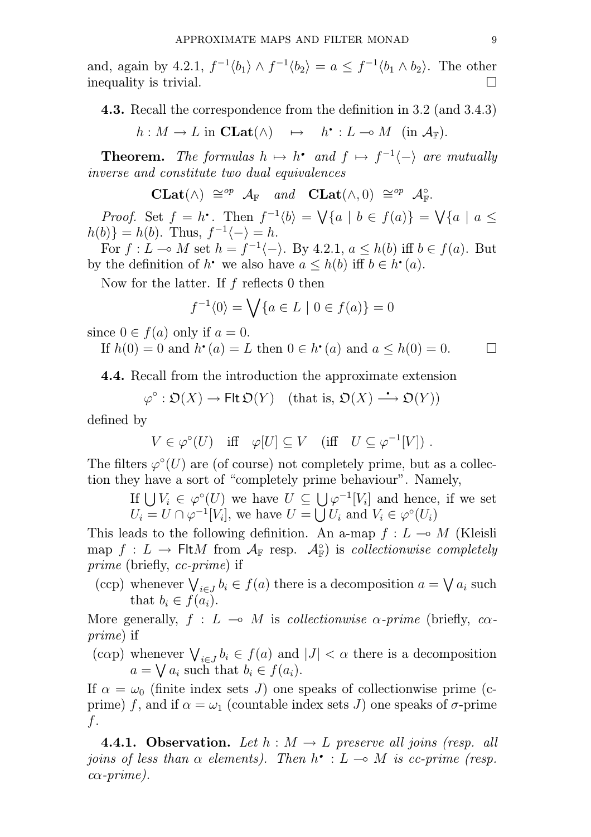and, again by 4.2.1,  $f^{-1} \langle b_1 \rangle \wedge f^{-1} \langle b_2 \rangle = a \leq f^{-1} \langle b_1 \wedge b_2 \rangle$ . The other inequality is trivial.

**4.3.** Recall the correspondence from the definition in 3.2 (and 3.4.3)

 $h: M \to L$  in  $\mathbf{Clat}(\wedge) \quad \mapsto \quad h^{\bullet}: L \multimap M \text{ (in } \mathcal{A}_{\mathbb{F}}).$ 

Theorem. The formulas  $h \mapsto h^*$  and  $f \mapsto f^{-1} \langle - \rangle$  are mutually inverse and constitute two dual equivalences

$$
\mathbf{CLat}(\wedge) \cong^{op} \mathcal{A}_{\mathbb{F}} \quad and \quad \mathbf{CLat}(\wedge,0) \cong^{op} \mathcal{A}_{\mathbb{F}}^{\circ}.
$$

**CLat**( $\wedge$ )  $\cong^{op}$   $\mathcal{A}_{\mathbb{F}}$  and **CLat**( $\wedge$ , 0)  $\cong^{op}$   $\mathcal{A}_{\mathbb{F}}^{\circ}$ .<br>*Proof.* Set  $f = h^{\bullet}$ . Then  $f^{-1}\langle b \rangle = \bigvee \{a \mid b \in f(a)\} = \bigvee \{a \mid a \leq b\}$  $h(b)$ } =  $h(b)$ . Thus,  $f^{-1}\langle - \rangle = h$ .

For  $f: L \to M$  set  $h = f^{-1}\langle - \rangle$ . By 4.2.1,  $a \leq h(b)$  iff  $b \in f(a)$ . But the definition of  $h^*$  we also have  $a \leq h(b)$  iff  $b \in h^*(a)$ . by the definition of  $h^{\bullet}$  we also have  $a \leq h(b)$  iff  $b \in h^{\bullet}(a)$ .

Now for the latter. If f reflects 0 then

$$
f^{-1}\langle 0 \rangle = \bigvee \{ a \in L \mid 0 \in f(a) \} = 0
$$

since 
$$
0 \in f(a)
$$
 only if  $a = 0$ .  
If  $h(0) = 0$  and  $h \cdot (a) = L$  then  $0 \in h \cdot (a)$  and  $a \le h(0) = 0$ .

4.4. Recall from the introduction the approximate extension

ecall from the introduction the approximate extens:<br>  $\varphi^{\circ}: \mathfrak{O}(X) \longrightarrow \text{Flt}\,\mathfrak{O}(Y)$  (that is,  $\mathfrak{O}(X) \longrightarrow \mathfrak{O}(Y)$ )

defined by

$$
V \in \varphi^{\circ}(U) \quad \text{iff} \quad \varphi[U] \subseteq V \quad (\text{iff} \quad U \subseteq \varphi^{-1}[V]) \; .
$$

The filters  $\varphi^{\circ}(U)$  are (of course) not completely prime, but as a collection they have a sort of "completely prime behaviour". Namely,

If  $\bigcup V_i \in \varphi^{\circ}(U)$  we have  $U \subseteq \bigcup \varphi^{-1}[V_i]$  and hence, if we set  $U_i = U \cap \varphi^{-1}[V_i],$  we have  $U = \bigcup U_i$  and  $V_i \in \varphi^{\circ}(U_i)$ 

This leads to the following definition. An a-map  $f: L \to M$  (Kleisli map  $f: L \to \text{Flt}M$  from  $\mathcal{A}_{\mathbb{F}}$  resp.  $\mathcal{A}_{\mathbb{F}}^{\circ}$  is collectionwise completely prime (briefly, cc-prime) if

(ccp) whenever  $\bigvee_{i \in J} b_i \in f(a)$  there is a decomposition  $a = \bigvee a_i$  such that  $b_i \in f(a_i)$ .

More generally,  $f : L \multimap M$  is collectionwise  $\alpha$ -prime (briefly,  $c\alpha$ prime) if

(cap) whenever  $\bigvee_{i\in J} b_i \in f(a)$  and  $|J| < \alpha$  there is a decomposition  $a = \bigvee a_i$  such that  $b_i \in f(a_i)$ .

If  $\alpha = \omega_0$  (finite index sets J) one speaks of collectionwise prime (cprime) f, and if  $\alpha = \omega_1$  (countable index sets J) one speaks of  $\sigma$ -prime  $f$ .

4.4.1. Observation. Let  $h : M \to L$  preserve all joins (resp. all **4.4.1. Observation.** Let  $h : M \to L$  preserve all joins (resp. all joins of less than  $\alpha$  elements). Then  $h^{\bullet} : L \to M$  is cc-prime (resp.  $c\alpha$ -prime).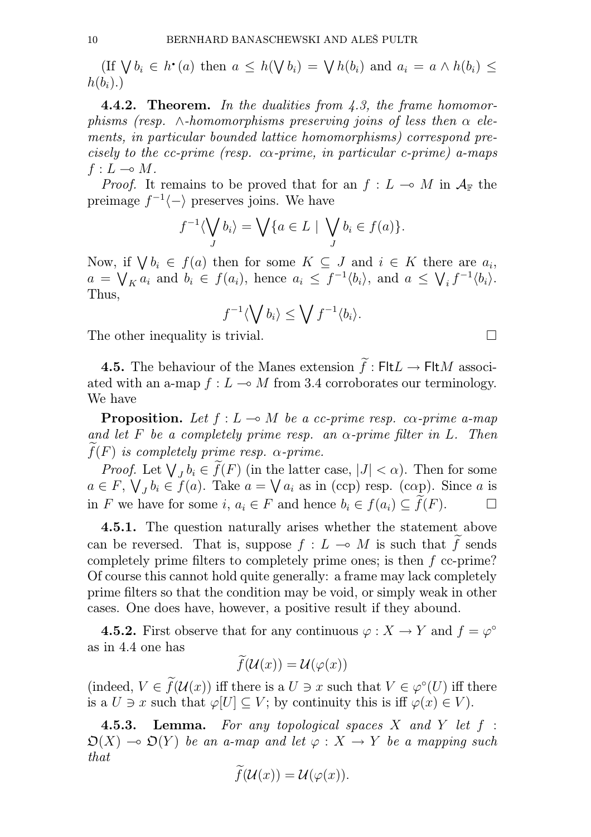BERNHARD BANASCHEWSKI AND ALES PULTR<br>(If  $\bigvee b_i \in h^{\bullet}(a)$  then  $a \leq h(\bigvee b_i) = \bigvee h(b_i)$  and  $a_i = a \land h(b_i) \leq$  $h(b_i)$ .)

**4.4.2. Theorem.** In the dualities from 4.3, the frame homomorphisms (resp.  $\wedge$ -homomorphisms preserving joins of less then  $\alpha$  elements, in particular bounded lattice homomorphisms) correspond precisely to the cc-prime (resp. co-prime, in particular c-prime) a-maps  $f: L \multimap M$ .

*Proof.* It remains to be proved that for an  $f: L \to M$  in  $\mathcal{A}_{\mathbb{F}}$  the preimage  $f^{-1}\langle -\rangle$  preserves joins. We have

$$
f^{-1}\langle \bigvee_{J} b_{i} \rangle = \bigvee \{ a \in L \mid \bigvee_{J} b_{i} \in f(a) \}.
$$

Now, if  $\bigvee b_i \in f(a)$  then for some  $K \subseteq J$  and  $i \in K$  there are  $a_i$ ,  $a = \bigvee_{K} a_i$  and  $b_i \in f(a_i)$ , hence  $a_i \leq f^{-1} \langle b_i \rangle$ , and  $a \leq \bigvee_i f^{-1} \langle b_i \rangle$ . Thus,

$$
f^{-1}\langle \bigvee b_i \rangle \leq \bigvee f^{-1}\langle b_i \rangle.
$$

The other inequality is trivial.  $\Box$ 

**4.5.** The behaviour of the Manes extension  $\tilde{f}:$  Flt $L \to$  Flt $M$  associated with an a-map  $f : L \multimap M$  from 3.4 corroborates our terminology. We have

**Proposition.** Let  $f: L \to M$  be a cc-prime resp. co-prime a-map and let F be a completely prime resp. an  $\alpha$ -prime filter in L. Then  $f(F)$  is completely prime resp.  $\alpha$ -prime.

*Proof.* Let  $\bigvee_{J} b_i \in \tilde{f}(F)$  (in the latter case,  $|J| < \alpha$ ). Then for some  $a \in F$ ,  $\bigvee_J b_i \in f(a)$ . Take  $a = \bigvee a_i$  as in (ccp) resp. (cap). Since a is in F we have for some i,  $a_i \in F$  and hence  $b_i \in f(a_i) \subseteq \widetilde{f}(F)$ . □

4.5.1. The question naturally arises whether the statement above can be reversed. That is, suppose  $f : L \multimap M$  is such that  $\widetilde{f}$  sends completely prime filters to completely prime ones; is then f cc-prime? Of course this cannot hold quite generally: a frame may lack completely prime filters so that the condition may be void, or simply weak in other cases. One does have, however, a positive result if they abound.

**4.5.2.** First observe that for any continuous  $\varphi: X \to Y$  and  $f = \varphi^{\circ}$ as in 4.4 one has

$$
f(\mathcal{U}(x)) = \mathcal{U}(\varphi(x))
$$

(indeed,  $V \in \hat{f}(\mathcal{U}(x))$  iff there is a  $U \ni x$  such that  $V \in \varphi^{\circ}(U)$  iff there is a  $U \ni x$  such that  $\varphi[U] \subset V$ ; by continuity this is iff  $\varphi(x) \in V$ .

**4.5.3. Lemma.** For any topological spaces  $X$  and  $Y$  let  $f$ :  $\mathfrak{O}(X) \multimap \mathfrak{O}(Y)$  be an a-map and let  $\varphi : X \to Y$  be a mapping such that

$$
f(\mathcal{U}(x)) = \mathcal{U}(\varphi(x)).
$$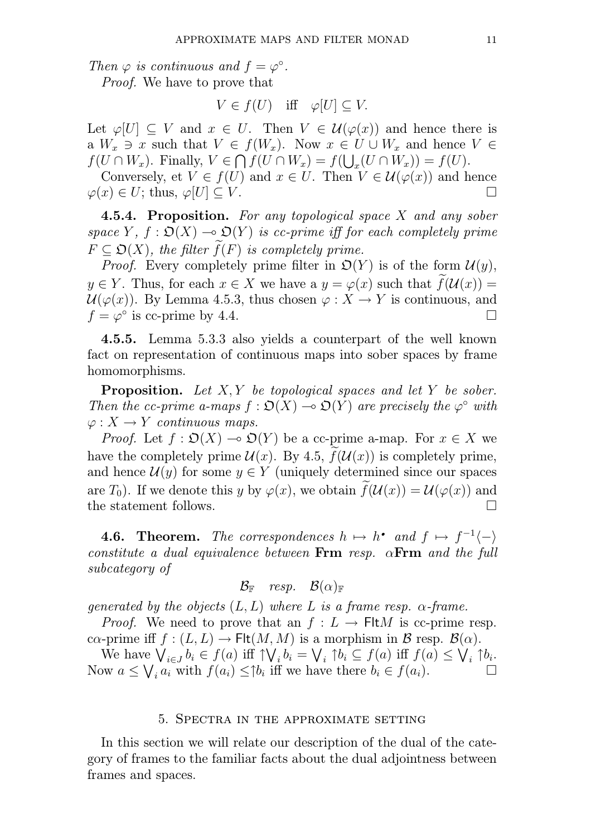Then  $\varphi$  is continuous and  $f = \varphi^{\circ}$ . Proof. We have to prove that

$$
V \in f(U) \quad \text{iff} \quad \varphi[U] \subseteq V.
$$

Let  $\varphi[U] \subseteq V$  and  $x \in U$ . Then  $V \in \mathcal{U}(\varphi(x))$  and hence there is a  $W_x \ni x$  such that  $V \in f(W_x)$ . Now  $x \in U \cup W_x$  and hence  $V \in$  $f(U \cap W_x)$ . Finally,  $V \in \bigcap f(U \cap W_x) = f(\bigcup_x (U \cap W_x)) = f(U)$ .

Conversely, et  $V \in f(U)$  and  $x \in U$ . Then  $V \in \mathcal{U}(\varphi(x))$  and hence  $\varphi(x) \in U$ ; thus,  $\varphi[U] \subseteq V$ .

4.5.4. Proposition. For any topological space X and any sober space Y,  $f : \mathfrak{O}(X) \to \mathfrak{O}(Y)$  is cc-prime iff for each completely prime  $F \subset \mathfrak{O}(X)$ , the filter  $f(F)$  is completely prime.

*Proof.* Every completely prime filter in  $\mathcal{D}(Y)$  is of the form  $\mathcal{U}(y)$ ,  $y \in Y$ . Thus, for each  $x \in X$  we have a  $y = \varphi(x)$  such that  $f(\mathcal{U}(x)) =$  $\mathcal{U}(\varphi(x))$ . By Lemma 4.5.3, thus chosen  $\varphi: X \to Y$  is continuous, and  $f = \varphi^{\circ}$  is cc-prime by 4.4.

4.5.5. Lemma 5.3.3 also yields a counterpart of the well known fact on representation of continuous maps into sober spaces by frame homomorphisms.

**Proposition.** Let  $X, Y$  be topological spaces and let Y be sober. Then the cc-prime a-maps  $f : \mathfrak{O}(X) \to \mathfrak{O}(Y)$  are precisely the  $\varphi^{\circ}$  with  $\varphi: X \to Y$  continuous maps.

*Proof.* Let  $f : \mathfrak{O}(X) \to \mathfrak{O}(Y)$  be a cc-prime a-map. For  $x \in X$  we have the completely prime  $\mathcal{U}(x)$ . By 4.5,  $f(\mathcal{U}(x))$  is completely prime, and hence  $\mathcal{U}(y)$  for some  $y \in Y$  (uniquely determined since our spaces are  $T_0$ ). If we denote this y by  $\varphi(x)$ , we obtain  $f(\mathcal{U}(x)) = \mathcal{U}(\varphi(x))$  and the statement follows.

**4.6. Theorem.** The correspondences  $h \mapsto h^{\bullet}$  and  $f \mapsto f^{-1}\langle -\rangle$ constitute a dual equivalence between  $\text{Frm}$  resp.  $\alpha \text{Frm}$  and the full subcategory of

$$
\mathcal{B}_{\mathbb{F}}\quad resp.\quad \mathcal{B}(\alpha)_{\mathbb{F}}
$$

generated by the objects  $(L, L)$  where L is a frame resp.  $\alpha$ -frame.

*Proof.* We need to prove that an  $f: L \to \text{Flt}M$  is cc-prime resp. ca-prime iff  $f : (L, L) \to \text{Flt}(M, M)$  is a morphism in B resp.  $\mathcal{B}(\alpha)$ .

We have  $\bigvee_{i\in J}b_i\in f(a)$  iff  $\uparrow\bigvee_ib_i=\bigvee_i\uparrow b_i\subseteq f(a)$  iff  $f(a)\leq\bigvee_i\uparrow b_i$ . Now  $a \leq \bigvee_i a_i$  with  $f(a_i) \leq \uparrow b_i$  iff we have there  $b_i \in f(a_i)$ .

#### 5. Spectra in the approximate setting

In this section we will relate our description of the dual of the category of frames to the familiar facts about the dual adjointness between frames and spaces.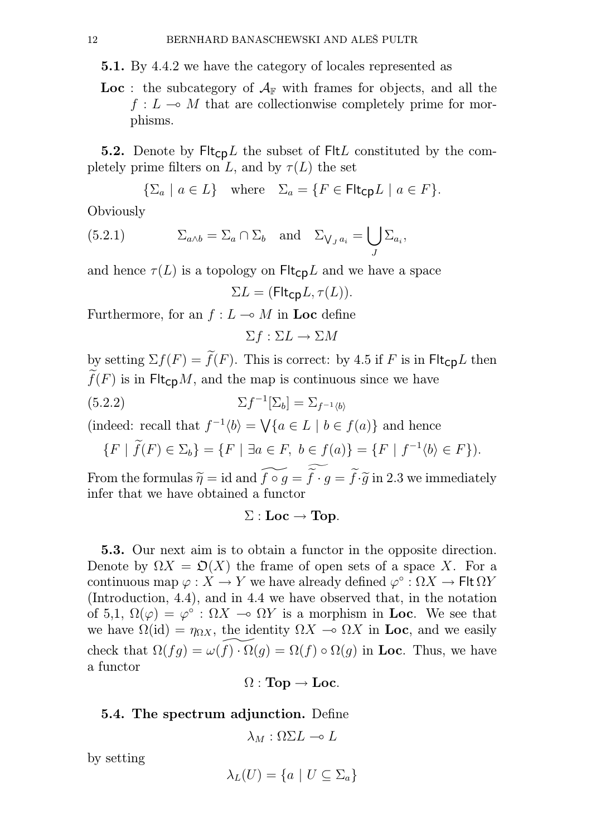5.1. By 4.4.2 we have the category of locales represented as

**Loc**: the subcategory of  $A_F$  with frames for objects, and all the  $f: L \to M$  that are collectionwise completely prime for morphisms.

**5.2.** Denote by  $\mathsf{Flt}_{\mathsf{CD}}L$  the subset of  $\mathsf{Flt}L$  constituted by the completely prime filters on L, and by  $\tau(L)$  the set

$$
\{\Sigma_a \mid a \in L\} \quad \text{where} \quad \Sigma_a = \{F \in \mathsf{Flt}_{\mathsf{CP}} L \mid a \in F\}.
$$

**Obviously** 

(5.2.1) 
$$
\Sigma_{a \wedge b} = \Sigma_a \cap \Sigma_b \text{ and } \Sigma_{\bigvee_a a_i} = \bigcup_J \Sigma_{a_i},
$$

and hence  $\tau(L)$  is a topology on  $\mathsf{Flt}_{\mathsf{CD}}L$  and we have a space

$$
\Sigma L = (\mathsf{Flt}_{\mathsf{CP}} L, \tau(L)).
$$

Furthermore, for an  $f: L \to M$  in Loc define

$$
\Sigma f : \Sigma L \to \Sigma M
$$

by setting  $\Sigma f(F) = \tilde{f}(F)$ . This is correct: by 4.5 if F is in Flt<sub>cp</sub>L then  $\widetilde{f}(F)$  is in Flt<sub>CD</sub>M, and the map is continuous since we have

(5.2.2) 
$$
\Sigma f^{-1}[\Sigma_b] = \Sigma_{f^{-1}\langle b \rangle}
$$

(indeed: recall that  $f^{-1}(b) = \bigvee \{a \in L \mid b \in f(a)\}\$  and hence

$$
\{F \mid \widetilde{f}(F) \in \Sigma_b\} = \{F \mid \exists a \in F, \ b \in f(a)\} = \{F \mid f^{-1}\langle b \rangle \in F\}.
$$

From the formulas  $\widetilde{\eta} = id$  and  $\widetilde{f \circ g} = \widetilde{f} \cdot g = \widetilde{f} \cdot \widetilde{g}$  in 2.3 we immediately infer that we have obtained a functor

$$
\Sigma: \mathbf{Loc}\to \mathbf{Top}.
$$

5.3. Our next aim is to obtain a functor in the opposite direction. Denote by  $\Omega X = \mathfrak{O}(X)$  the frame of open sets of a space X. For a continuous map  $\varphi: X \to Y$  we have already defined  $\varphi^{\circ} : \Omega X \to \mathsf{Flt} \Omega Y$ (Introduction, 4.4), and in 4.4 we have observed that, in the notation of 5,1,  $\Omega(\varphi) = \varphi^{\circ} : \Omega X \to \Omega Y$  is a morphism in Loc. We see that we have  $\Omega(\text{id}) = \eta_{\Omega X}$ , the identity  $\Omega X \to \Omega X$  in Loc, and we easily check that  $\Omega(fq) = \omega(f) \cdot \Omega(q) = \Omega(f) \circ \Omega(q)$  in Loc. Thus, we have a functor

$$
\Omega: \mathbf{Top} \to \mathbf{Loc}.
$$

## 5.4. The spectrum adjunction. Define

$$
\lambda_M : \Omega \Sigma L \multimap L
$$

by setting

$$
\lambda_L(U) = \{ a \mid U \subseteq \Sigma_a \}
$$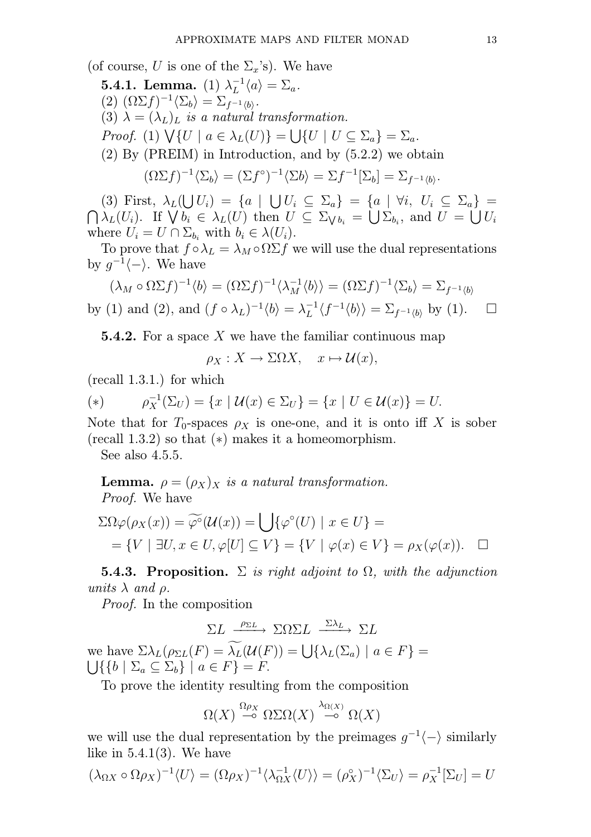(of course, U is one of the  $\Sigma_x$ 's). We have

**5.4.1.** Lemma. (1)  $\lambda_L^{-1}$  $L^{-1}\langle a\rangle = \Sigma_a.$ 

 $(2) \; (\Omega \Sigma f)^{-1} \langle \Sigma_b \rangle = \Sigma_{f^{-1} \langle b \rangle}.$ 

(3)  $\lambda = (\lambda_L)_{\bar{L}}$  is a natural transformation.

Proof. (1)  $\bigvee \{U \mid a \in \lambda_L(U)\} = \bigcup \{U \mid U \subseteq \Sigma_a\} = \Sigma_a$ .

(2) By (PREIM) in Introduction, and by (5.2.2) we obtain

$$
(\Omega \Sigma f)^{-1} \langle \Sigma_b \rangle = (\Sigma f^{\circ})^{-1} \langle \Sigma b \rangle = \Sigma f^{-1} [\Sigma_b] = \Sigma_{f^{-1} \langle b \rangle}.
$$

(3) First,  $\lambda_L(\bigcup U_i) = \{a \mid \bigcup U_i \subseteq \Sigma_a\} = \{a \mid \forall i, U_i \subseteq \Sigma_a\} =$  $\bigcap \lambda_L(U_i)$ . If  $\bigvee b_i \in \lambda_L(U)$  then  $U \subseteq \Sigma_{\bigvee b_i} = \bigcup \Sigma_{b_i}$ , and  $U = \bigcup U_i$ where  $U_i = U \cap \Sigma_{b_i}$  with  $b_i \in \lambda(U_i)$ .

To prove that  $f \circ \lambda_L = \lambda_M \circ \Omega \Sigma f$  we will use the dual representations by  $g^{-1}\langle -\rangle$ . We have

$$
(\lambda_M \circ \Omega \Sigma f)^{-1} \langle b \rangle = (\Omega \Sigma f)^{-1} \langle \lambda_M^{-1} \langle b \rangle \rangle = (\Omega \Sigma f)^{-1} \langle \Sigma_b \rangle = \Sigma_{f^{-1} \langle b \rangle}
$$
  
by (1) and (2), and  $(f \circ \lambda_L)^{-1} \langle b \rangle = \lambda_L^{-1} \langle f^{-1} \langle b \rangle \rangle = \Sigma_{f^{-1} \langle b \rangle}$  by (1).

**5.4.2.** For a space X we have the familiar continuous map

 $\rho_X : X \to \Sigma \Omega X$ ,  $x \mapsto \mathcal{U}(x)$ ,

(recall 1.3.1.) for which

(\*) 
$$
\rho_X^{-1}(\Sigma_U) = \{x \mid \mathcal{U}(x) \in \Sigma_U\} = \{x \mid U \in \mathcal{U}(x)\} = U.
$$

Note that for  $T_0$ -spaces  $\rho_X$  is one-one, and it is onto iff X is sober (recall 1.3.2) so that (∗) makes it a homeomorphism.

See also 4.5.5.

**Lemma.**  $\rho = (\rho_X)_X$  is a natural transformation. Proof. We have

$$
\Sigma\Omega\varphi(\rho_X(x)) = \widetilde{\varphi^{\circ}}(\mathcal{U}(x)) = \bigcup \{\varphi^{\circ}(U) \mid x \in U\} =
$$
  
= {V |  $\exists U, x \in U, \varphi[U] \subseteq V$ } = {V |  $\varphi(x) \in V$ } =  $\rho_X(\varphi(x))$ .  $\square$ 

5.4.3. Proposition.  $\Sigma$  is right adjoint to  $\Omega$ , with the adjunction units  $\lambda$  and  $\rho$ .

Proof. In the composition

$$
\Sigma L \xrightarrow{\rho_{\Sigma L}} \Sigma \Omega \Sigma L \xrightarrow{\Sigma \lambda_L} \Sigma L
$$
  
we have  $\Sigma \lambda_L (\rho_{\Sigma L}(F) = \widetilde{\lambda_L}(\mathcal{U}(F)) = \bigcup \{ \lambda_L(\Sigma_a) \mid a \in F \} = \bigcup \{ \{ b \mid \Sigma_a \subseteq \Sigma_b \} \mid a \in F \} = F.$ 

To prove the identity resulting from the composition

$$
\Omega(X) \stackrel{\Omega\rho_X}{\multimap} \Omega\Sigma\Omega(X) \stackrel{\lambda_{\Omega(X)}}{\multimap} \Omega(X)
$$

we will use the dual representation by the preimages  $g^{-1}\langle -\rangle$  similarly like in  $5.4.1(3)$ . We have

$$
(\lambda_{\Omega X} \circ \Omega \rho_X)^{-1} \langle U \rangle = (\Omega \rho_X)^{-1} \langle \lambda_{\Omega X}^{-1} \langle U \rangle \rangle = (\rho_X^{\circ})^{-1} \langle \Sigma_U \rangle = \rho_X^{-1} [\Sigma_U] = U
$$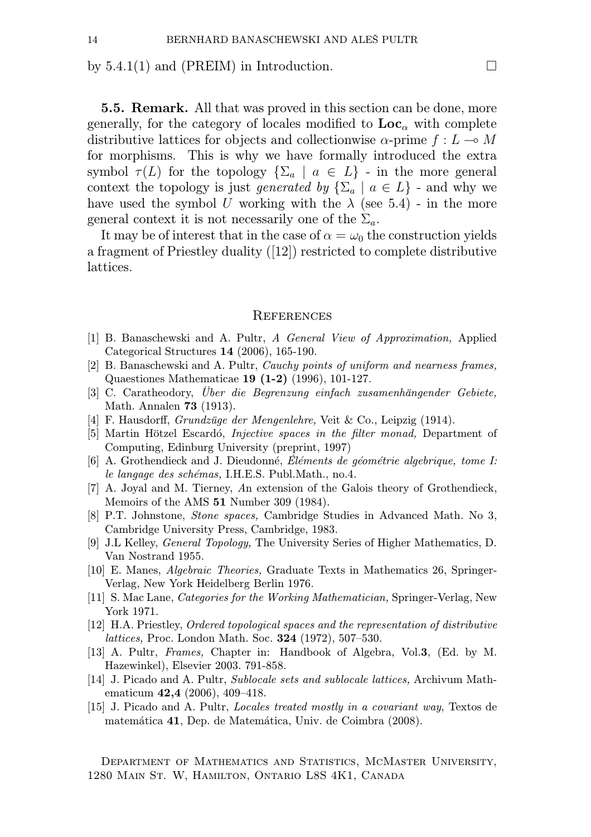by 5.4.1(1) and (PREIM) in Introduction.  $\Box$ 

5.5. Remark. All that was proved in this section can be done, more generally, for the category of locales modified to  $\text{Loc}_{\alpha}$  with complete distributive lattices for objects and collectionwise  $\alpha$ -prime  $f: L \to M$ for morphisms. This is why we have formally introduced the extra symbol  $\tau(L)$  for the topology  $\{\Sigma_a \mid a \in L\}$  - in the more general context the topology is just generated by  $\{\Sigma_a \mid a \in L\}$  - and why we have used the symbol U working with the  $\lambda$  (see 5.4) - in the more general context it is not necessarily one of the  $\Sigma_a$ .

It may be of interest that in the case of  $\alpha = \omega_0$  the construction yields a fragment of Priestley duality ([12]) restricted to complete distributive lattices.

### **REFERENCES**

- [1] B. Banaschewski and A. Pultr, A General View of Approximation, Applied Categorical Structures 14 (2006), 165-190.
- [2] B. Banaschewski and A. Pultr, Cauchy points of uniform and nearness frames, Quaestiones Mathematicae 19 (1-2) (1996), 101-127.
- [3] C. Caratheodory, Über die Begrenzung einfach zusamenhängender Gebiete, Math. Annalen 73 (1913).
- [4] F. Hausdorff, Grundzüge der Mengenlehre, Veit & Co., Leipzig (1914).
- [5] Martin Hötzel Escardó, Injective spaces in the filter monad, Department of Computing, Edinburg University (preprint, 1997)
- [6] A. Grothendieck and J. Dieudonné, Éléments de géométrie algebrique, tome I: le langage des schémas, I.H.E.S. Publ.Math., no.4.
- [7] A. Joyal and M. Tierney, An extension of the Galois theory of Grothendieck, Memoirs of the AMS 51 Number 309 (1984).
- [8] P.T. Johnstone, Stone spaces, Cambridge Studies in Advanced Math. No 3, Cambridge University Press, Cambridge, 1983.
- [9] J.L Kelley, General Topology, The University Series of Higher Mathematics, D. Van Nostrand 1955.
- [10] E. Manes, Algebraic Theories, Graduate Texts in Mathematics 26, Springer-Verlag, New York Heidelberg Berlin 1976.
- [11] S. Mac Lane, Categories for the Working Mathematician, Springer-Verlag, New York 1971.
- [12] H.A. Priestley, Ordered topological spaces and the representation of distributive lattices, Proc. London Math. Soc. 324 (1972), 507–530.
- [13] A. Pultr, Frames, Chapter in: Handbook of Algebra, Vol.3, (Ed. by M. Hazewinkel), Elsevier 2003. 791-858.
- [14] J. Picado and A. Pultr, Sublocale sets and sublocale lattices, Archivum Mathematicum 42,4 (2006), 409–418.
- [15] J. Picado and A. Pultr, Locales treated mostly in a covariant way, Textos de matemática 41, Dep. de Matemática, Univ. de Coimbra (2008).

Department of Mathematics and Statistics, McMaster University, 1280 Main St. W, Hamilton, Ontario L8S 4K1, Canada